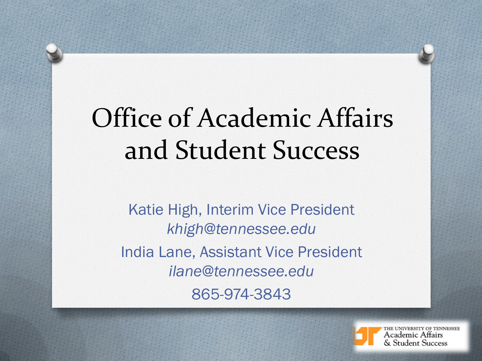# Office of Academic Affairs and Student Success

Katie High, Interim Vice President *khigh@tennessee.edu* India Lane, Assistant Vice President *ilane@tennessee.edu* 865-974-3843



THE UNIVERSITY OF TENNESSEE Academic Affairs **Student Success**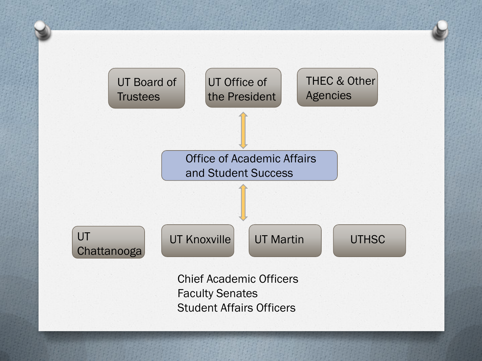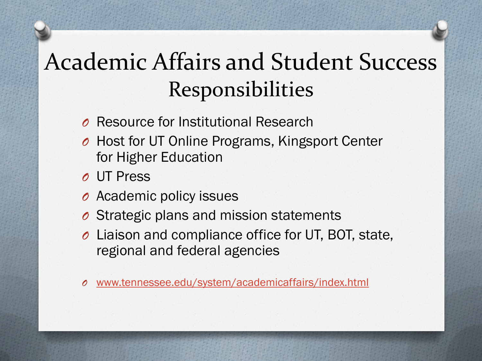#### Academic Affairs and Student Success Responsibilities

- *O* Resource for Institutional Research
- *O* Host for UT Online Programs, Kingsport Center for Higher Education
- *O* UT Press
- *O* Academic policy issues
- *O* Strategic plans and mission statements
- *O* Liaison and compliance office for UT, BOT, state, regional and federal agencies
- *O* [www.tennessee.edu/system/academicaffairs/index.html](http://www.tennessee.edu/system/academicaffairs/index.html)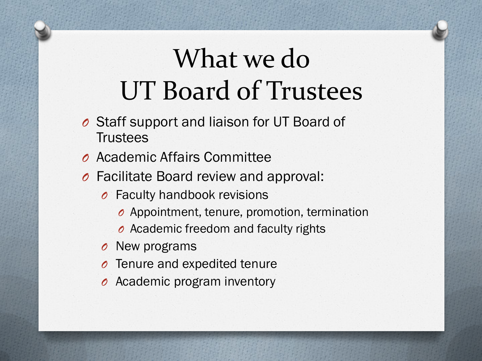## What we do UT Board of Trustees

- *O* Staff support and liaison for UT Board of Trustees
- *O* Academic Affairs Committee
- *O* Facilitate Board review and approval:
	- *O* Faculty handbook revisions
		- *O* Appointment, tenure, promotion, termination
		- *O* Academic freedom and faculty rights
	- *O* New programs
	- *O* Tenure and expedited tenure
	- *O* Academic program inventory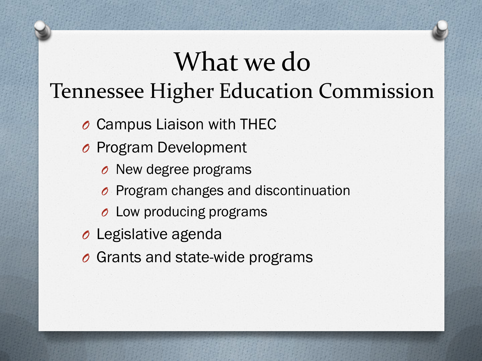#### What we do Tennessee Higher Education Commission

- *O* Campus Liaison with THEC
- *O* Program Development
	- *O* New degree programs
	- *O* Program changes and discontinuation
	- *O* Low producing programs
- *O* Legislative agenda
- *O* Grants and state-wide programs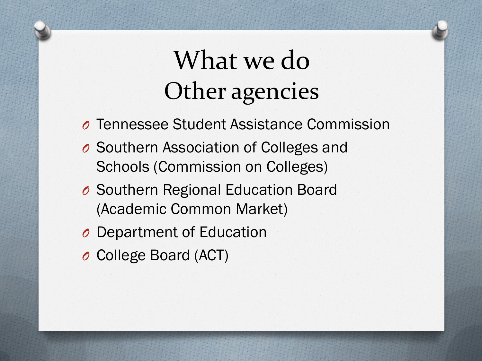### What we do Other agencies

- *O* Tennessee Student Assistance Commission
- *O* Southern Association of Colleges and Schools (Commission on Colleges)
- *O* Southern Regional Education Board (Academic Common Market)
- *O* Department of Education
- *O* College Board (ACT)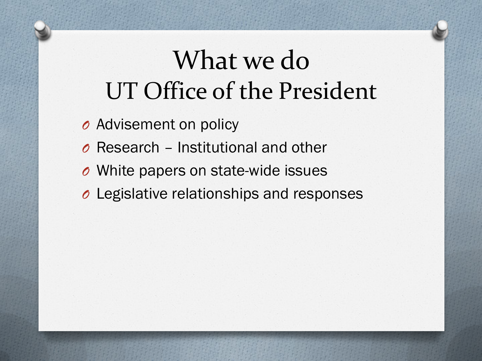### What we do UT Office of the President

- *O* Advisement on policy
- *O* Research Institutional and other
- *O* White papers on state-wide issues
- *O* Legislative relationships and responses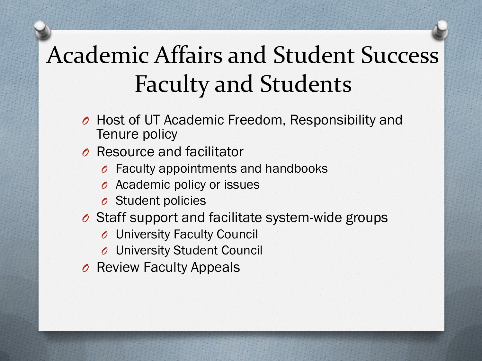#### Academic Affairs and Student Success Faculty and Students

- *O* Host of UT Academic Freedom, Responsibility and Tenure policy
- *O* Resource and facilitator
	- *O* Faculty appointments and handbooks
	- *O* Academic policy or issues
	- *O* Student policies
- *O* Staff support and facilitate system-wide groups
	- *O* University Faculty Council
	- *O* University Student Council
- *O* Review Faculty Appeals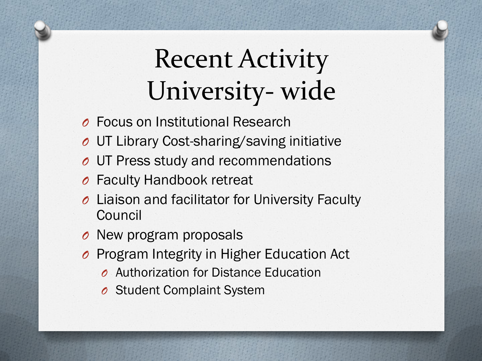## Recent Activity University- wide

- *O* Focus on Institutional Research
- *O* UT Library Cost-sharing/saving initiative
- *O* UT Press study and recommendations
- *O* Faculty Handbook retreat
- *O* Liaison and facilitator for University Faculty Council
- *O* New program proposals
- *O* Program Integrity in Higher Education Act
	- *O* Authorization for Distance Education
	- *O* Student Complaint System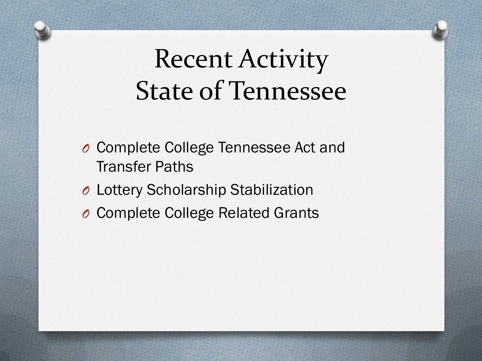### Recent Activity State of Tennessee

- *O* Complete College Tennessee Act and Transfer Paths
- *O* Lottery Scholarship Stabilization
- *O* Complete College Related Grants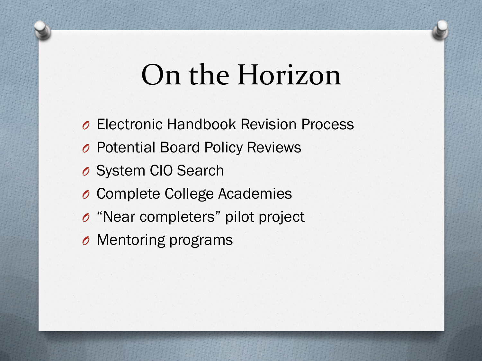## On the Horizon

- *O* Electronic Handbook Revision Process *O* Potential Board Policy Reviews *O* System CIO Search *O* Complete College Academies *O* "Near completers" pilot project
- *O* Mentoring programs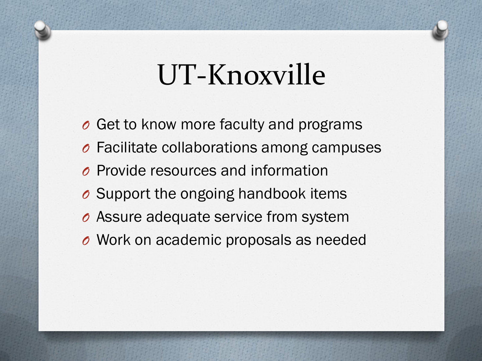## UT-Knoxville

*O* Get to know more faculty and programs *O* Facilitate collaborations among campuses *O* Provide resources and information *O* Support the ongoing handbook items *O* Assure adequate service from system *O* Work on academic proposals as needed